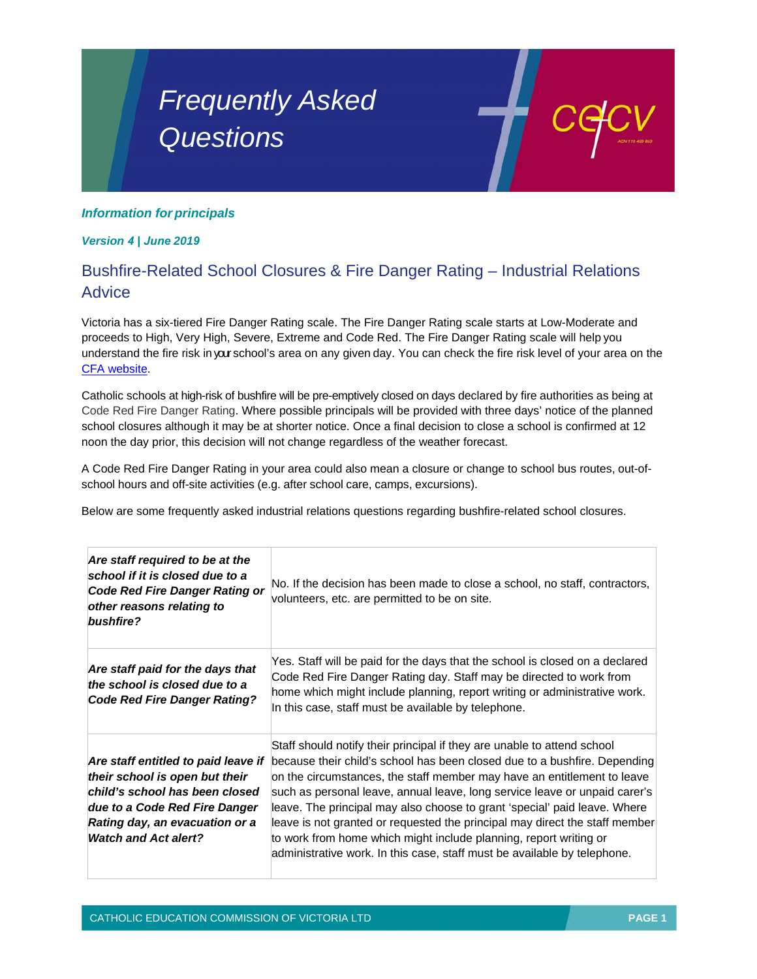## *Frequently Asked Questions*

## *Information for principals*

*Version 4 | June 2019*

## Bushfire-Related School Closures & Fire Danger Rating – Industrial Relations Advice

Victoria has a six-tiered Fire Danger Rating scale. The Fire Danger Rating scale starts at Low-Moderate and proceeds to High, Very High, Severe, Extreme and Code Red. The Fire Danger Rating scale will help you understand the fire risk inyour school's area on any given day. You can check the fire risk level of your area on the CFA website.

Catholic schools at high-risk of bushfire will be pre-emptively closed on days declared by fire authorities as being at Code Red Fire Danger Rating. Where possible principals will be provided with three days' notice of the planned school closures although it may be at shorter notice. Once a final decision to close a school is confirmed at 12 noon the day prior, this decision will not change regardless of the weather forecast.

A Code Red Fire Danger Rating in your area could also mean a closure or change to school bus routes, out-ofschool hours and off-site activities (e.g. after school care, camps, excursions).

Below are some frequently asked industrial relations questions regarding bushfire-related school closures.

| Are staff required to be at the<br>school if it is closed due to a<br><b>Code Red Fire Danger Rating or</b><br>other reasons relating to<br>bushfire?                                                     | No. If the decision has been made to close a school, no staff, contractors,<br>volunteers, etc. are permitted to be on site.                                                                                                                                                                                                                                                                                                                                                                                                                                                                                               |
|-----------------------------------------------------------------------------------------------------------------------------------------------------------------------------------------------------------|----------------------------------------------------------------------------------------------------------------------------------------------------------------------------------------------------------------------------------------------------------------------------------------------------------------------------------------------------------------------------------------------------------------------------------------------------------------------------------------------------------------------------------------------------------------------------------------------------------------------------|
| Are staff paid for the days that<br>the school is closed due to a<br><b>Code Red Fire Danger Rating?</b>                                                                                                  | Yes. Staff will be paid for the days that the school is closed on a declared<br>Code Red Fire Danger Rating day. Staff may be directed to work from<br>home which might include planning, report writing or administrative work.<br>In this case, staff must be available by telephone.                                                                                                                                                                                                                                                                                                                                    |
| Are staff entitled to paid leave if<br>their school is open but their<br>child's school has been closed<br>due to a Code Red Fire Danger<br>Rating day, an evacuation or a<br><b>Watch and Act alert?</b> | Staff should notify their principal if they are unable to attend school<br>because their child's school has been closed due to a bushfire. Depending<br>on the circumstances, the staff member may have an entitlement to leave<br>such as personal leave, annual leave, long service leave or unpaid carer's<br>leave. The principal may also choose to grant 'special' paid leave. Where<br>leave is not granted or requested the principal may direct the staff member<br>to work from home which might include planning, report writing or<br>administrative work. In this case, staff must be available by telephone. |